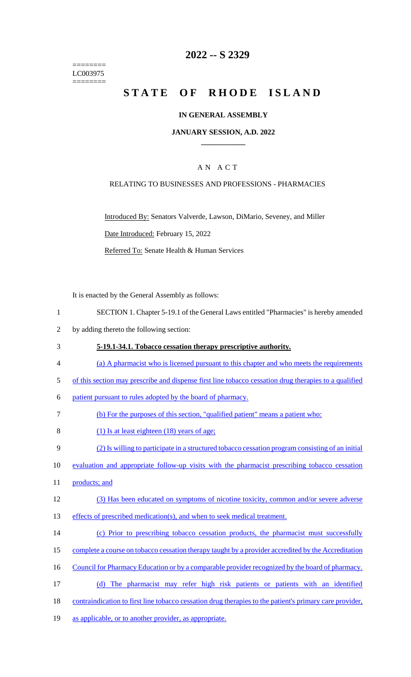======== LC003975 ========

### **2022 -- S 2329**

# **STATE OF RHODE ISLAND**

#### **IN GENERAL ASSEMBLY**

#### **JANUARY SESSION, A.D. 2022 \_\_\_\_\_\_\_\_\_\_\_\_**

### A N A C T

#### RELATING TO BUSINESSES AND PROFESSIONS - PHARMACIES

Introduced By: Senators Valverde, Lawson, DiMario, Seveney, and Miller Date Introduced: February 15, 2022 Referred To: Senate Health & Human Services

It is enacted by the General Assembly as follows:

- 1 SECTION 1. Chapter 5-19.1 of the General Laws entitled "Pharmacies" is hereby amended
- 2 by adding thereto the following section:
- 3 **5-19.1-34.1. Tobacco cessation therapy prescriptive authority.**
- 4 (a) A pharmacist who is licensed pursuant to this chapter and who meets the requirements
- 5 of this section may prescribe and dispense first line tobacco cessation drug therapies to a qualified
- 6 patient pursuant to rules adopted by the board of pharmacy.
- 7 (b) For the purposes of this section, "qualified patient" means a patient who:
- 8 (1) Is at least eighteen (18) years of age;
- 9 (2) Is willing to participate in a structured tobacco cessation program consisting of an initial
- 10 evaluation and appropriate follow-up visits with the pharmacist prescribing tobacco cessation
- 11 products; and

### 12 (3) Has been educated on symptoms of nicotine toxicity, common and/or severe adverse

- 13 effects of prescribed medication(s), and when to seek medical treatment.
- 14 (c) Prior to prescribing tobacco cessation products, the pharmacist must successfully
- 15 complete a course on tobacco cessation therapy taught by a provider accredited by the Accreditation
- 16 Council for Pharmacy Education or by a comparable provider recognized by the board of pharmacy.
- 17 (d) The pharmacist may refer high risk patients or patients with an identified
- 18 contraindication to first line tobacco cessation drug therapies to the patient's primary care provider,
- 19 as applicable, or to another provider, as appropriate.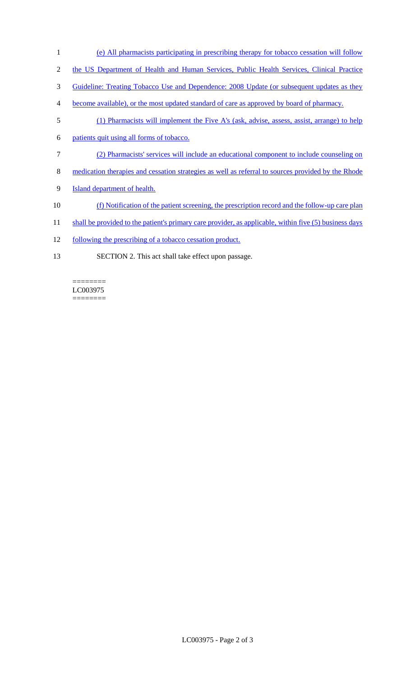- 1 (e) All pharmacists participating in prescribing therapy for tobacco cessation will follow
- 2 the US Department of Health and Human Services, Public Health Services, Clinical Practice
- 3 Guideline: Treating Tobacco Use and Dependence: 2008 Update (or subsequent updates as they
- 4 become available), or the most updated standard of care as approved by board of pharmacy.
- 5 (1) Pharmacists will implement the Five A's (ask, advise, assess, assist, arrange) to help
- 6 patients quit using all forms of tobacco.
- 7 (2) Pharmacists' services will include an educational component to include counseling on
- 8 medication therapies and cessation strategies as well as referral to sources provided by the Rhode
- 9 **Island department of health.**
- 10 (f) Notification of the patient screening, the prescription record and the follow-up care plan
- 11 shall be provided to the patient's primary care provider, as applicable, within five (5) business days
- 12 following the prescribing of a tobacco cessation product.
- 13 SECTION 2. This act shall take effect upon passage.

#### LC003975 ========

 $=$